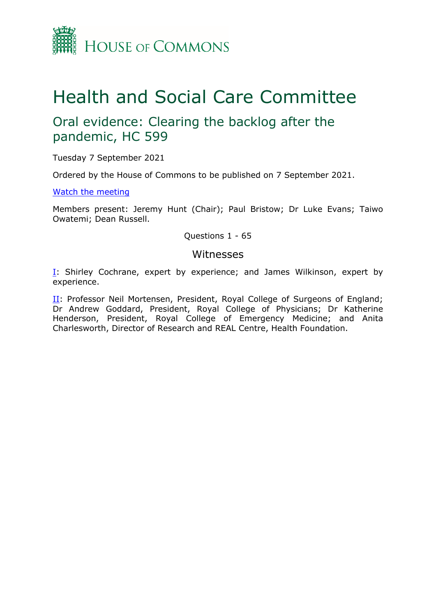

# Health and Social Care Committee

# Oral evidence: Clearing the backlog after the pandemic, HC 599

Tuesday 7 September 2021

Ordered by the House of Commons to be published on 7 September 2021.

[Watch](https://parliamentlive.tv/Event/Index/6405dd4b-323e-44c2-91bd-a0fe03245f0a) [the](https://parliamentlive.tv/Event/Index/6405dd4b-323e-44c2-91bd-a0fe03245f0a) [meeting](https://parliamentlive.tv/Event/Index/6405dd4b-323e-44c2-91bd-a0fe03245f0a)

Members present: Jeremy Hunt (Chair); Paul Bristow; Dr Luke Evans; Taiwo Owatemi; Dean Russell.

Questions 1 - 65

#### Witnesses

[I:](#page-1-0) Shirley Cochrane, expert by experience; and James Wilkinson, expert by experience.

II: Professor Neil Mortensen, President, Royal College of Surgeons of England; Dr Andrew Goddard, President, Royal College of Physicians; Dr Katherine Henderson, President, Royal College of Emergency Medicine; and Anita Charlesworth, Director of Research and REAL Centre, Health Foundation.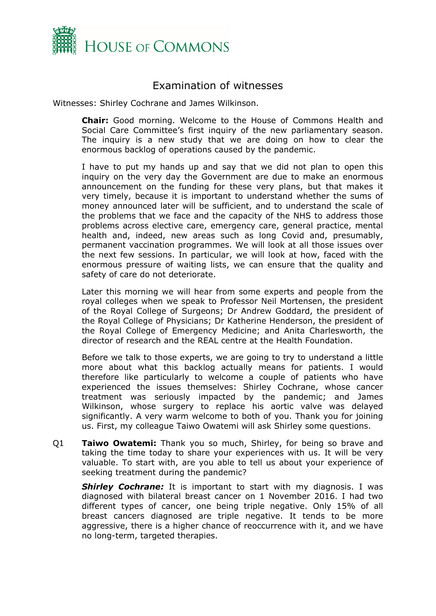

## <span id="page-1-0"></span>Examination of witnesses

Witnesses: Shirley Cochrane and James Wilkinson.

**Chair:** Good morning. Welcome to the House of Commons Health and Social Care Committee's first inquiry of the new parliamentary season. The inquiry is a new study that we are doing on how to clear the enormous backlog of operations caused by the pandemic.

I have to put my hands up and say that we did not plan to open this inquiry on the very day the Government are due to make an enormous announcement on the funding for these very plans, but that makes it very timely, because it is important to understand whether the sums of money announced later will be sufficient, and to understand the scale of the problems that we face and the capacity of the NHS to address those problems across elective care, emergency care, general practice, mental health and, indeed, new areas such as long Covid and, presumably, permanent vaccination programmes. We will look at all those issues over the next few sessions. In particular, we will look at how, faced with the enormous pressure of waiting lists, we can ensure that the quality and safety of care do not deteriorate.

Later this morning we will hear from some experts and people from the royal colleges when we speak to Professor Neil Mortensen, the president of the Royal College of Surgeons; Dr Andrew Goddard, the president of the Royal College of Physicians; Dr Katherine Henderson, the president of the Royal College of Emergency Medicine; and Anita Charlesworth, the director of research and the REAL centre at the Health Foundation.

Before we talk to those experts, we are going to try to understand a little more about what this backlog actually means for patients. I would therefore like particularly to welcome a couple of patients who have experienced the issues themselves: Shirley Cochrane, whose cancer treatment was seriously impacted by the pandemic; and James Wilkinson, whose surgery to replace his aortic valve was delayed significantly. A very warm welcome to both of you. Thank you for joining us. First, my colleague Taiwo Owatemi will ask Shirley some questions.

Q1 **Taiwo Owatemi:** Thank you so much, Shirley, for being so brave and taking the time today to share your experiences with us. It will be very valuable. To start with, are you able to tell us about your experience of seeking treatment during the pandemic?

**Shirley Cochrane:** It is important to start with my diagnosis. I was diagnosed with bilateral breast cancer on 1 November 2016. I had two different types of cancer, one being triple negative. Only 15% of all breast cancers diagnosed are triple negative. It tends to be more aggressive, there is a higher chance of reoccurrence with it, and we have no long-term, targeted therapies.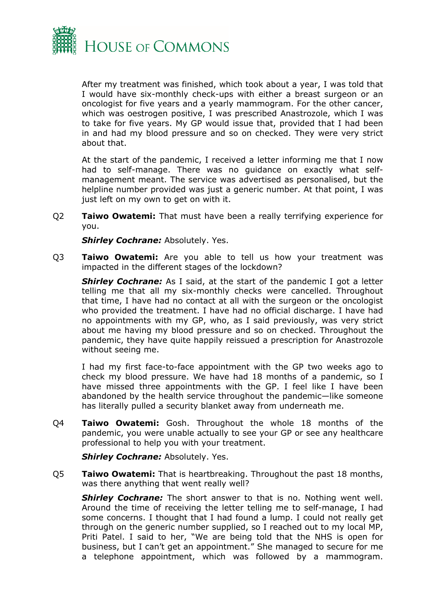

After my treatment was finished, which took about a year, I was told that I would have six-monthly check-ups with either a breast surgeon or an oncologist for five years and a yearly mammogram. For the other cancer, which was oestrogen positive, I was prescribed Anastrozole, which I was to take for five years. My GP would issue that, provided that I had been in and had my blood pressure and so on checked. They were very strict about that.

At the start of the pandemic, I received a letter informing me that I now had to self-manage. There was no guidance on exactly what selfmanagement meant. The service was advertised as personalised, but the helpline number provided was just a generic number. At that point, I was just left on my own to get on with it.

Q2 **Taiwo Owatemi:** That must have been a really terrifying experience for you.

*Shirley Cochrane:* Absolutely. Yes.

Q3 **Taiwo Owatemi:** Are you able to tell us how your treatment was impacted in the different stages of the lockdown?

*Shirley Cochrane:* As I said, at the start of the pandemic I got a letter telling me that all my six-monthly checks were cancelled. Throughout that time, I have had no contact at all with the surgeon or the oncologist who provided the treatment. I have had no official discharge. I have had no appointments with my GP, who, as I said previously, was very strict about me having my blood pressure and so on checked. Throughout the pandemic, they have quite happily reissued a prescription for Anastrozole without seeing me.

I had my first face-to-face appointment with the GP two weeks ago to check my blood pressure. We have had 18 months of a pandemic, so I have missed three appointments with the GP. I feel like I have been abandoned by the health service throughout the pandemic—like someone has literally pulled a security blanket away from underneath me.

Q4 **Taiwo Owatemi:** Gosh. Throughout the whole 18 months of the pandemic, you were unable actually to see your GP or see any healthcare professional to help you with your treatment.

**Shirley Cochrane: Absolutely. Yes.** 

Q5 **Taiwo Owatemi:** That is heartbreaking. Throughout the past 18 months, was there anything that went really well?

**Shirley Cochrane:** The short answer to that is no. Nothing went well. Around the time of receiving the letter telling me to self-manage, I had some concerns. I thought that I had found a lump. I could not really get through on the generic number supplied, so I reached out to my local MP, Priti Patel. I said to her, "We are being told that the NHS is open for business, but I can't get an appointment." She managed to secure for me a telephone appointment, which was followed by a mammogram.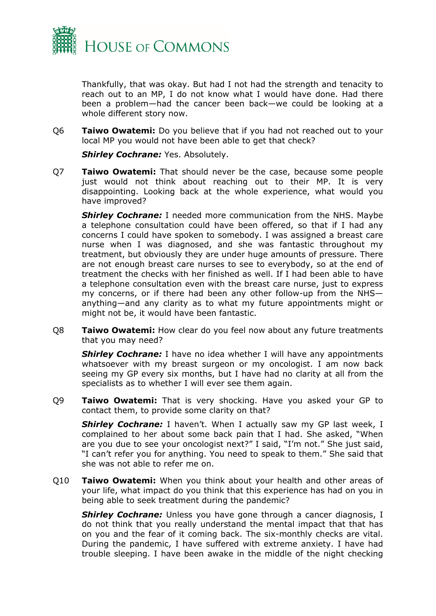

Thankfully, that was okay. But had I not had the strength and tenacity to reach out to an MP, I do not know what I would have done. Had there been a problem—had the cancer been back—we could be looking at a whole different story now.

Q6 **Taiwo Owatemi:** Do you believe that if you had not reached out to your local MP you would not have been able to get that check?

*Shirley Cochrane:* Yes. Absolutely.

Q7 **Taiwo Owatemi:** That should never be the case, because some people just would not think about reaching out to their MP. It is very disappointing. Looking back at the whole experience, what would you have improved?

*Shirley Cochrane:* I needed more communication from the NHS. Maybe a telephone consultation could have been offered, so that if I had any concerns I could have spoken to somebody. I was assigned a breast care nurse when I was diagnosed, and she was fantastic throughout my treatment, but obviously they are under huge amounts of pressure. There are not enough breast care nurses to see to everybody, so at the end of treatment the checks with her finished as well. If I had been able to have a telephone consultation even with the breast care nurse, just to express my concerns, or if there had been any other follow-up from the NHS anything—and any clarity as to what my future appointments might or might not be, it would have been fantastic.

Q8 **Taiwo Owatemi:** How clear do you feel now about any future treatments that you may need?

**Shirley Cochrane:** I have no idea whether I will have any appointments whatsoever with my breast surgeon or my oncologist. I am now back seeing my GP every six months, but I have had no clarity at all from the specialists as to whether I will ever see them again.

Q9 **Taiwo Owatemi:** That is very shocking. Have you asked your GP to contact them, to provide some clarity on that?

**Shirley Cochrane:** I haven't. When I actually saw my GP last week, I complained to her about some back pain that I had. She asked, "When are you due to see your oncologist next?" I said, "I'm not." She just said, "I can't refer you for anything. You need to speak to them." She said that she was not able to refer me on.

Q10 **Taiwo Owatemi:** When you think about your health and other areas of your life, what impact do you think that this experience has had on you in being able to seek treatment during the pandemic?

**Shirley Cochrane:** Unless you have gone through a cancer diagnosis, I do not think that you really understand the mental impact that that has on you and the fear of it coming back. The six-monthly checks are vital. During the pandemic, I have suffered with extreme anxiety. I have had trouble sleeping. I have been awake in the middle of the night checking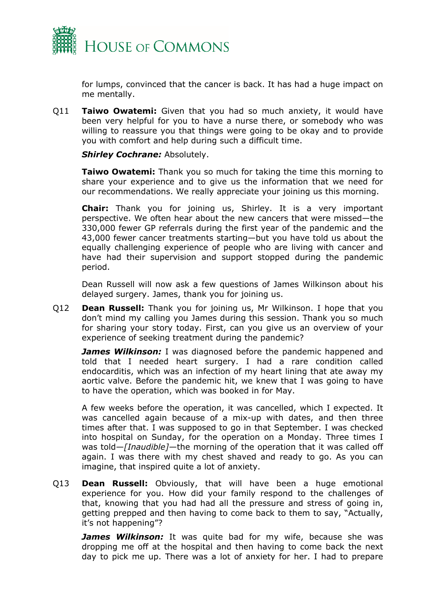

for lumps, convinced that the cancer is back. It has had a huge impact on me mentally.

Q11 **Taiwo Owatemi:** Given that you had so much anxiety, it would have been very helpful for you to have a nurse there, or somebody who was willing to reassure you that things were going to be okay and to provide you with comfort and help during such a difficult time.

*Shirley Cochrane:* Absolutely.

**Taiwo Owatemi:** Thank you so much for taking the time this morning to share your experience and to give us the information that we need for our recommendations. We really appreciate your joining us this morning.

**Chair:** Thank you for joining us, Shirley. It is a very important perspective. We often hear about the new cancers that were missed—the 330,000 fewer GP referrals during the first year of the pandemic and the 43,000 fewer cancer treatments starting—but you have told us about the equally challenging experience of people who are living with cancer and have had their supervision and support stopped during the pandemic period.

Dean Russell will now ask a few questions of James Wilkinson about his delayed surgery. James, thank you for joining us.

Q12 **Dean Russell:** Thank you for joining us, Mr Wilkinson. I hope that you don't mind my calling you James during this session. Thank you so much for sharing your story today. First, can you give us an overview of your experience of seeking treatment during the pandemic?

*James Wilkinson:* I was diagnosed before the pandemic happened and told that I needed heart surgery. I had a rare condition called endocarditis, which was an infection of my heart lining that ate away my aortic valve. Before the pandemic hit, we knew that I was going to have to have the operation, which was booked in for May.

A few weeks before the operation, it was cancelled, which I expected. It was cancelled again because of a mix-up with dates, and then three times after that. I was supposed to go in that September. I was checked into hospital on Sunday, for the operation on a Monday. Three times I was told—*[Inaudible]*—the morning of the operation that it was called off again. I was there with my chest shaved and ready to go. As you can imagine, that inspired quite a lot of anxiety.

Q13 **Dean Russell:** Obviously, that will have been a huge emotional experience for you. How did your family respond to the challenges of that, knowing that you had had all the pressure and stress of going in, getting prepped and then having to come back to them to say, "Actually, it's not happening"?

*James Wilkinson:* It was quite bad for my wife, because she was dropping me off at the hospital and then having to come back the next day to pick me up. There was a lot of anxiety for her. I had to prepare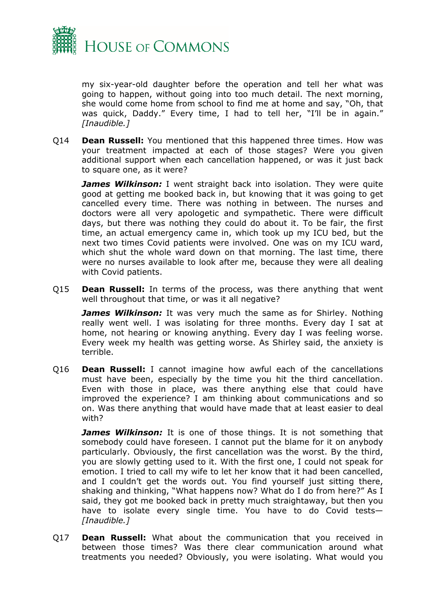

my six-year-old daughter before the operation and tell her what was going to happen, without going into too much detail. The next morning, she would come home from school to find me at home and say, "Oh, that was quick, Daddy." Every time, I had to tell her, "I'll be in again." *[Inaudible.]*

Q14 **Dean Russell:** You mentioned that this happened three times. How was your treatment impacted at each of those stages? Were you given additional support when each cancellation happened, or was it just back to square one, as it were?

*James Wilkinson:* I went straight back into isolation. They were quite good at getting me booked back in, but knowing that it was going to get cancelled every time. There was nothing in between. The nurses and doctors were all very apologetic and sympathetic. There were difficult days, but there was nothing they could do about it. To be fair, the first time, an actual emergency came in, which took up my ICU bed, but the next two times Covid patients were involved. One was on my ICU ward, which shut the whole ward down on that morning. The last time, there were no nurses available to look after me, because they were all dealing with Covid patients.

Q15 **Dean Russell:** In terms of the process, was there anything that went well throughout that time, or was it all negative?

*James Wilkinson:* It was very much the same as for Shirley. Nothing really went well. I was isolating for three months. Every day I sat at home, not hearing or knowing anything. Every day I was feeling worse. Every week my health was getting worse. As Shirley said, the anxiety is terrible.

Q16 **Dean Russell:** I cannot imagine how awful each of the cancellations must have been, especially by the time you hit the third cancellation. Even with those in place, was there anything else that could have improved the experience? I am thinking about communications and so on. Was there anything that would have made that at least easier to deal with?

*James Wilkinson:* It is one of those things. It is not something that somebody could have foreseen. I cannot put the blame for it on anybody particularly. Obviously, the first cancellation was the worst. By the third, you are slowly getting used to it. With the first one, I could not speak for emotion. I tried to call my wife to let her know that it had been cancelled, and I couldn't get the words out. You find yourself just sitting there, shaking and thinking, "What happens now? What do I do from here?" As I said, they got me booked back in pretty much straightaway, but then you have to isolate every single time. You have to do Covid tests— *[Inaudible.]*

Q17 **Dean Russell:** What about the communication that you received in between those times? Was there clear communication around what treatments you needed? Obviously, you were isolating. What would you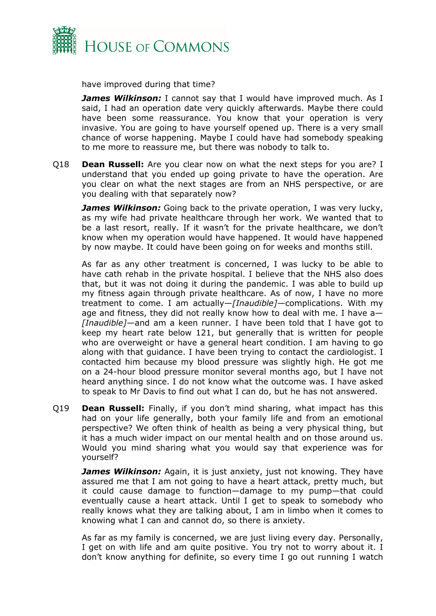

have improved during that time?

*James Wilkinson:* I cannot say that I would have improved much. As I said, I had an operation date very quickly afterwards. Maybe there could have been some reassurance. You know that your operation is very invasive. You are going to have yourself opened up. There is a very small chance of worse happening. Maybe I could have had somebody speaking to me more to reassure me, but there was nobody to talk to.

Q18 **Dean Russell:** Are you clear now on what the next steps for you are? I understand that you ended up going private to have the operation. Are you clear on what the next stages are from an NHS perspective, or are you dealing with that separately now?

*James Wilkinson:* Going back to the private operation, I was very lucky, as my wife had private healthcare through her work. We wanted that to be a last resort, really. If it wasn't for the private healthcare, we don't know when my operation would have happened. It would have happened by now maybe. It could have been going on for weeks and months still.

As far as any other treatment is concerned, I was lucky to be able to have cath rehab in the private hospital. I believe that the NHS also does that, but it was not doing it during the pandemic. I was able to build up my fitness again through private healthcare. As of now, I have no more treatment to come. I am actually—*[Inaudible]—*complications. With my age and fitness, they did not really know how to deal with me. I have a— *[Inaudible]*—and am a keen runner. I have been told that I have got to keep my heart rate below 121, but generally that is written for people who are overweight or have a general heart condition. I am having to go along with that guidance. I have been trying to contact the cardiologist. I contacted him because my blood pressure was slightly high. He got me on a 24-hour blood pressure monitor several months ago, but I have not heard anything since. I do not know what the outcome was. I have asked to speak to Mr Davis to find out what I can do, but he has not answered.

Q19 **Dean Russell:** Finally, if you don't mind sharing, what impact has this had on your life generally, both your family life and from an emotional perspective? We often think of health as being a very physical thing, but it has a much wider impact on our mental health and on those around us. Would you mind sharing what you would say that experience was for yourself?

**James Wilkinson:** Again, it is just anxiety, just not knowing. They have assured me that I am not going to have a heart attack, pretty much, but it could cause damage to function—damage to my pump—that could eventually cause a heart attack. Until I get to speak to somebody who really knows what they are talking about, I am in limbo when it comes to knowing what I can and cannot do, so there is anxiety.

As far as my family is concerned, we are just living every day. Personally, I get on with life and am quite positive. You try not to worry about it. I don't know anything for definite, so every time I go out running I watch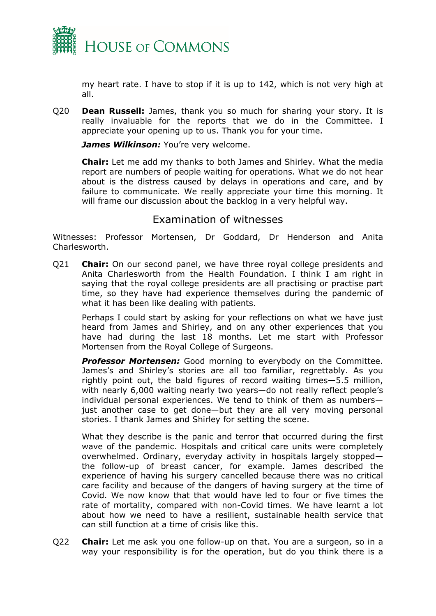

my heart rate. I have to stop if it is up to 142, which is not very high at all.

Q20 **Dean Russell:** James, thank you so much for sharing your story. It is really invaluable for the reports that we do in the Committee. I appreciate your opening up to us. Thank you for your time.

*James Wilkinson:* You're very welcome.

**Chair:** Let me add my thanks to both James and Shirley. What the media report are numbers of people waiting for operations. What we do not hear about is the distress caused by delays in operations and care, and by failure to communicate. We really appreciate your time this morning. It will frame our discussion about the backlog in a very helpful way.

### Examination of witnesses

Witnesses: Professor Mortensen, Dr Goddard, Dr Henderson and Anita Charlesworth.

Q21 **Chair:** On our second panel, we have three royal college presidents and Anita Charlesworth from the Health Foundation. I think I am right in saying that the royal college presidents are all practising or practise part time, so they have had experience themselves during the pandemic of what it has been like dealing with patients.

Perhaps I could start by asking for your reflections on what we have just heard from James and Shirley, and on any other experiences that you have had during the last 18 months. Let me start with Professor Mortensen from the Royal College of Surgeons.

*Professor Mortensen:* Good morning to everybody on the Committee. James's and Shirley's stories are all too familiar, regrettably. As you rightly point out, the bald figures of record waiting times—5.5 million, with nearly 6,000 waiting nearly two years—do not really reflect people's individual personal experiences. We tend to think of them as numbers just another case to get done—but they are all very moving personal stories. I thank James and Shirley for setting the scene.

What they describe is the panic and terror that occurred during the first wave of the pandemic. Hospitals and critical care units were completely overwhelmed. Ordinary, everyday activity in hospitals largely stopped the follow-up of breast cancer, for example. James described the experience of having his surgery cancelled because there was no critical care facility and because of the dangers of having surgery at the time of Covid. We now know that that would have led to four or five times the rate of mortality, compared with non-Covid times. We have learnt a lot about how we need to have a resilient, sustainable health service that can still function at a time of crisis like this.

Q22 **Chair:** Let me ask you one follow-up on that. You are a surgeon, so in a way your responsibility is for the operation, but do you think there is a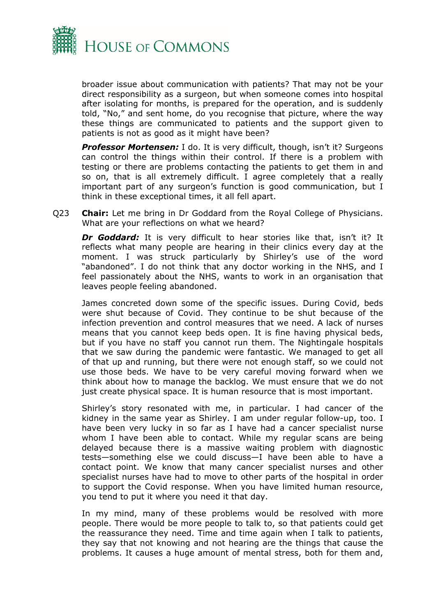

broader issue about communication with patients? That may not be your direct responsibility as a surgeon, but when someone comes into hospital after isolating for months, is prepared for the operation, and is suddenly told, "No," and sent home, do you recognise that picture, where the way these things are communicated to patients and the support given to patients is not as good as it might have been?

**Professor Mortensen:** I do. It is very difficult, though, isn't it? Surgeons can control the things within their control. If there is a problem with testing or there are problems contacting the patients to get them in and so on, that is all extremely difficult. I agree completely that a really important part of any surgeon's function is good communication, but I think in these exceptional times, it all fell apart.

Q23 **Chair:** Let me bring in Dr Goddard from the Royal College of Physicians. What are your reflections on what we heard?

*Dr Goddard:* It is very difficult to hear stories like that, isn't it? It reflects what many people are hearing in their clinics every day at the moment. I was struck particularly by Shirley's use of the word "abandoned". I do not think that any doctor working in the NHS, and I feel passionately about the NHS, wants to work in an organisation that leaves people feeling abandoned.

James concreted down some of the specific issues. During Covid, beds were shut because of Covid. They continue to be shut because of the infection prevention and control measures that we need. A lack of nurses means that you cannot keep beds open. It is fine having physical beds, but if you have no staff you cannot run them. The Nightingale hospitals that we saw during the pandemic were fantastic. We managed to get all of that up and running, but there were not enough staff, so we could not use those beds. We have to be very careful moving forward when we think about how to manage the backlog. We must ensure that we do not just create physical space. It is human resource that is most important.

Shirley's story resonated with me, in particular. I had cancer of the kidney in the same year as Shirley. I am under regular follow-up, too. I have been very lucky in so far as I have had a cancer specialist nurse whom I have been able to contact. While my regular scans are being delayed because there is a massive waiting problem with diagnostic tests—something else we could discuss—I have been able to have a contact point. We know that many cancer specialist nurses and other specialist nurses have had to move to other parts of the hospital in order to support the Covid response. When you have limited human resource, you tend to put it where you need it that day.

In my mind, many of these problems would be resolved with more people. There would be more people to talk to, so that patients could get the reassurance they need. Time and time again when I talk to patients, they say that not knowing and not hearing are the things that cause the problems. It causes a huge amount of mental stress, both for them and,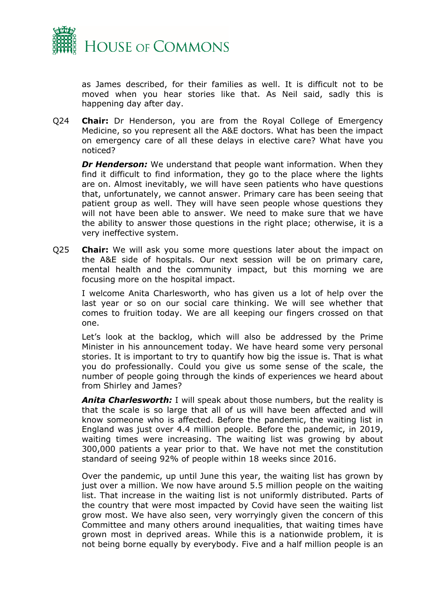

as James described, for their families as well. It is difficult not to be moved when you hear stories like that. As Neil said, sadly this is happening day after day.

Q24 **Chair:** Dr Henderson, you are from the Royal College of Emergency Medicine, so you represent all the A&E doctors. What has been the impact on emergency care of all these delays in elective care? What have you noticed?

**Dr Henderson:** We understand that people want information. When they find it difficult to find information, they go to the place where the lights are on. Almost inevitably, we will have seen patients who have questions that, unfortunately, we cannot answer. Primary care has been seeing that patient group as well. They will have seen people whose questions they will not have been able to answer. We need to make sure that we have the ability to answer those questions in the right place; otherwise, it is a very ineffective system.

Q25 **Chair:** We will ask you some more questions later about the impact on the A&E side of hospitals. Our next session will be on primary care, mental health and the community impact, but this morning we are focusing more on the hospital impact.

I welcome Anita Charlesworth, who has given us a lot of help over the last year or so on our social care thinking. We will see whether that comes to fruition today. We are all keeping our fingers crossed on that one.

Let's look at the backlog, which will also be addressed by the Prime Minister in his announcement today. We have heard some very personal stories. It is important to try to quantify how big the issue is. That is what you do professionally. Could you give us some sense of the scale, the number of people going through the kinds of experiences we heard about from Shirley and James?

*Anita Charlesworth:* I will speak about those numbers, but the reality is that the scale is so large that all of us will have been affected and will know someone who is affected. Before the pandemic, the waiting list in England was just over 4.4 million people. Before the pandemic, in 2019, waiting times were increasing. The waiting list was growing by about 300,000 patients a year prior to that. We have not met the constitution standard of seeing 92% of people within 18 weeks since 2016.

Over the pandemic, up until June this year, the waiting list has grown by just over a million. We now have around 5.5 million people on the waiting list. That increase in the waiting list is not uniformly distributed. Parts of the country that were most impacted by Covid have seen the waiting list grow most. We have also seen, very worryingly given the concern of this Committee and many others around inequalities, that waiting times have grown most in deprived areas. While this is a nationwide problem, it is not being borne equally by everybody. Five and a half million people is an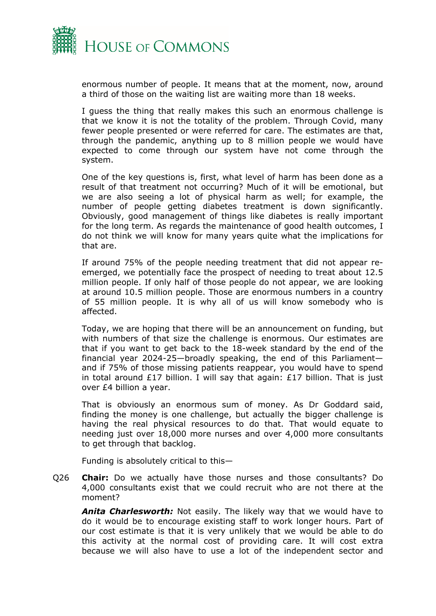

enormous number of people. It means that at the moment, now, around a third of those on the waiting list are waiting more than 18 weeks.

I guess the thing that really makes this such an enormous challenge is that we know it is not the totality of the problem. Through Covid, many fewer people presented or were referred for care. The estimates are that, through the pandemic, anything up to 8 million people we would have expected to come through our system have not come through the system.

One of the key questions is, first, what level of harm has been done as a result of that treatment not occurring? Much of it will be emotional, but we are also seeing a lot of physical harm as well; for example, the number of people getting diabetes treatment is down significantly. Obviously, good management of things like diabetes is really important for the long term. As regards the maintenance of good health outcomes, I do not think we will know for many years quite what the implications for that are.

If around 75% of the people needing treatment that did not appear reemerged, we potentially face the prospect of needing to treat about 12.5 million people. If only half of those people do not appear, we are looking at around 10.5 million people. Those are enormous numbers in a country of 55 million people. It is why all of us will know somebody who is affected.

Today, we are hoping that there will be an announcement on funding, but with numbers of that size the challenge is enormous. Our estimates are that if you want to get back to the 18-week standard by the end of the financial year 2024-25—broadly speaking, the end of this Parliament and if 75% of those missing patients reappear, you would have to spend in total around  $£17$  billion. I will say that again:  $£17$  billion. That is just over £4 billion a year.

That is obviously an enormous sum of money. As Dr Goddard said, finding the money is one challenge, but actually the bigger challenge is having the real physical resources to do that. That would equate to needing just over 18,000 more nurses and over 4,000 more consultants to get through that backlog.

Funding is absolutely critical to this—

Q26 **Chair:** Do we actually have those nurses and those consultants? Do 4,000 consultants exist that we could recruit who are not there at the moment?

*Anita Charlesworth:* Not easily. The likely way that we would have to do it would be to encourage existing staff to work longer hours. Part of our cost estimate is that it is very unlikely that we would be able to do this activity at the normal cost of providing care. It will cost extra because we will also have to use a lot of the independent sector and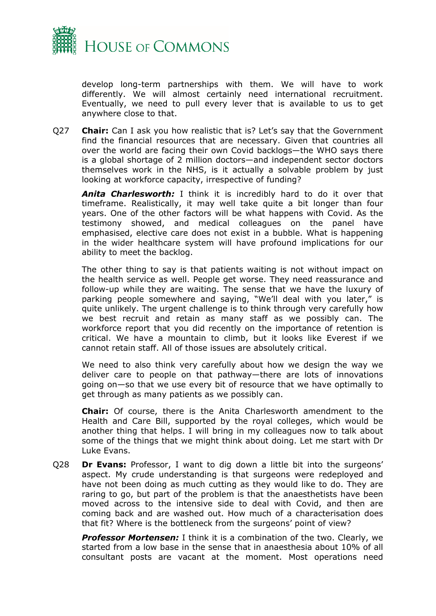

develop long-term partnerships with them. We will have to work differently. We will almost certainly need international recruitment. Eventually, we need to pull every lever that is available to us to get anywhere close to that.

Q27 **Chair:** Can I ask you how realistic that is? Let's say that the Government find the financial resources that are necessary. Given that countries all over the world are facing their own Covid backlogs—the WHO says there is a global shortage of 2 million doctors—and independent sector doctors themselves work in the NHS, is it actually a solvable problem by just looking at workforce capacity, irrespective of funding?

*Anita Charlesworth:* I think it is incredibly hard to do it over that timeframe. Realistically, it may well take quite a bit longer than four years. One of the other factors will be what happens with Covid. As the testimony showed, and medical colleagues on the panel have emphasised, elective care does not exist in a bubble. What is happening in the wider healthcare system will have profound implications for our ability to meet the backlog.

The other thing to say is that patients waiting is not without impact on the health service as well. People get worse. They need reassurance and follow-up while they are waiting. The sense that we have the luxury of parking people somewhere and saying, "We'll deal with you later," is quite unlikely. The urgent challenge is to think through very carefully how we best recruit and retain as many staff as we possibly can. The workforce report that you did recently on the importance of retention is critical. We have a mountain to climb, but it looks like Everest if we cannot retain staff. All of those issues are absolutely critical.

We need to also think very carefully about how we design the way we deliver care to people on that pathway—there are lots of innovations going on—so that we use every bit of resource that we have optimally to get through as many patients as we possibly can.

**Chair:** Of course, there is the Anita Charlesworth amendment to the Health and Care Bill, supported by the royal colleges, which would be another thing that helps. I will bring in my colleagues now to talk about some of the things that we might think about doing. Let me start with Dr Luke Evans.

Q28 **Dr Evans:** Professor, I want to dig down a little bit into the surgeons' aspect. My crude understanding is that surgeons were redeployed and have not been doing as much cutting as they would like to do. They are raring to go, but part of the problem is that the anaesthetists have been moved across to the intensive side to deal with Covid, and then are coming back and are washed out. How much of a characterisation does that fit? Where is the bottleneck from the surgeons' point of view?

*Professor Mortensen:* I think it is a combination of the two. Clearly, we started from a low base in the sense that in anaesthesia about 10% of all consultant posts are vacant at the moment. Most operations need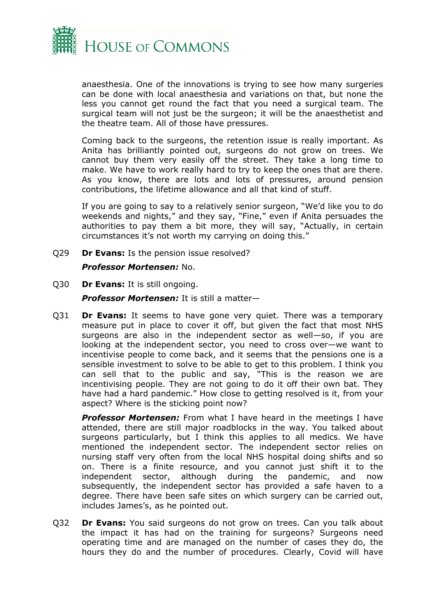

anaesthesia. One of the innovations is trying to see how many surgeries can be done with local anaesthesia and variations on that, but none the less you cannot get round the fact that you need a surgical team. The surgical team will not just be the surgeon; it will be the anaesthetist and the theatre team. All of those have pressures.

Coming back to the surgeons, the retention issue is really important. As Anita has brilliantly pointed out, surgeons do not grow on trees. We cannot buy them very easily off the street. They take a long time to make. We have to work really hard to try to keep the ones that are there. As you know, there are lots and lots of pressures, around pension contributions, the lifetime allowance and all that kind of stuff.

If you are going to say to a relatively senior surgeon, "We'd like you to do weekends and nights," and they say, "Fine," even if Anita persuades the authorities to pay them a bit more, they will say, "Actually, in certain circumstances it's not worth my carrying on doing this."

Q29 **Dr Evans:** Is the pension issue resolved?

#### *Professor Mortensen:* No.

Q30 **Dr Evans:** It is still ongoing.

*Professor Mortensen:* It is still a matter—

Q31 **Dr Evans:** It seems to have gone very quiet. There was a temporary measure put in place to cover it off, but given the fact that most NHS surgeons are also in the independent sector as well—so, if you are looking at the independent sector, you need to cross over—we want to incentivise people to come back, and it seems that the pensions one is a sensible investment to solve to be able to get to this problem. I think you can sell that to the public and say, "This is the reason we are incentivising people. They are not going to do it off their own bat. They have had a hard pandemic." How close to getting resolved is it, from your aspect? Where is the sticking point now?

**Professor Mortensen:** From what I have heard in the meetings I have attended, there are still major roadblocks in the way. You talked about surgeons particularly, but I think this applies to all medics. We have mentioned the independent sector. The independent sector relies on nursing staff very often from the local NHS hospital doing shifts and so on. There is a finite resource, and you cannot just shift it to the independent sector, although during the pandemic, and now subsequently, the independent sector has provided a safe haven to a degree. There have been safe sites on which surgery can be carried out, includes James's, as he pointed out.

Q32 **Dr Evans:** You said surgeons do not grow on trees. Can you talk about the impact it has had on the training for surgeons? Surgeons need operating time and are managed on the number of cases they do, the hours they do and the number of procedures. Clearly, Covid will have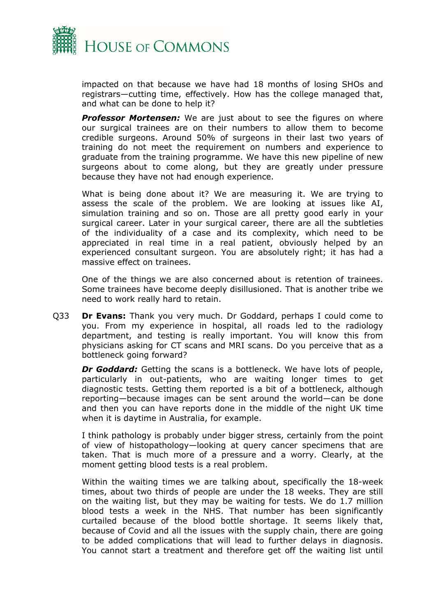

impacted on that because we have had 18 months of losing SHOs and registrars—cutting time, effectively. How has the college managed that, and what can be done to help it?

**Professor Mortensen:** We are just about to see the figures on where our surgical trainees are on their numbers to allow them to become credible surgeons. Around 50% of surgeons in their last two years of training do not meet the requirement on numbers and experience to graduate from the training programme. We have this new pipeline of new surgeons about to come along, but they are greatly under pressure because they have not had enough experience.

What is being done about it? We are measuring it. We are trying to assess the scale of the problem. We are looking at issues like AI, simulation training and so on. Those are all pretty good early in your surgical career. Later in your surgical career, there are all the subtleties of the individuality of a case and its complexity, which need to be appreciated in real time in a real patient, obviously helped by an experienced consultant surgeon. You are absolutely right; it has had a massive effect on trainees.

One of the things we are also concerned about is retention of trainees. Some trainees have become deeply disillusioned. That is another tribe we need to work really hard to retain.

Q33 **Dr Evans:** Thank you very much. Dr Goddard, perhaps I could come to you. From my experience in hospital, all roads led to the radiology department, and testing is really important. You will know this from physicians asking for CT scans and MRI scans. Do you perceive that as a bottleneck going forward?

*Dr Goddard:* Getting the scans is a bottleneck. We have lots of people, particularly in out-patients, who are waiting longer times to get diagnostic tests. Getting them reported is a bit of a bottleneck, although reporting—because images can be sent around the world—can be done and then you can have reports done in the middle of the night UK time when it is daytime in Australia, for example.

I think pathology is probably under bigger stress, certainly from the point of view of histopathology—looking at query cancer specimens that are taken. That is much more of a pressure and a worry. Clearly, at the moment getting blood tests is a real problem.

Within the waiting times we are talking about, specifically the 18-week times, about two thirds of people are under the 18 weeks. They are still on the waiting list, but they may be waiting for tests. We do 1.7 million blood tests a week in the NHS. That number has been significantly curtailed because of the blood bottle shortage. It seems likely that, because of Covid and all the issues with the supply chain, there are going to be added complications that will lead to further delays in diagnosis. You cannot start a treatment and therefore get off the waiting list until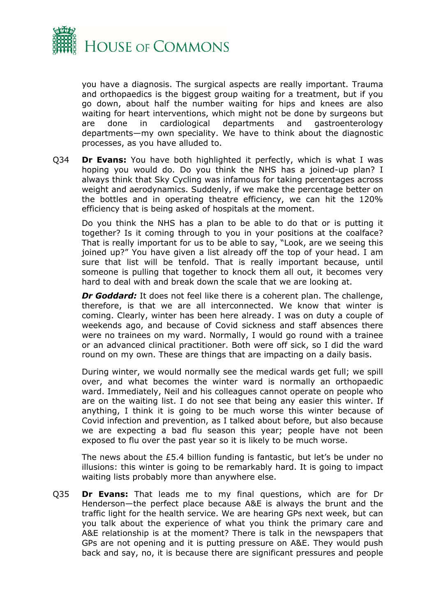

you have a diagnosis. The surgical aspects are really important. Trauma and orthopaedics is the biggest group waiting for a treatment, but if you go down, about half the number waiting for hips and knees are also waiting for heart interventions, which might not be done by surgeons but are done in cardiological departments and gastroenterology departments—my own speciality. We have to think about the diagnostic processes, as you have alluded to.

Q34 **Dr Evans:** You have both highlighted it perfectly, which is what I was hoping you would do. Do you think the NHS has a joined-up plan? I always think that Sky Cycling was infamous for taking percentages across weight and aerodynamics. Suddenly, if we make the percentage better on the bottles and in operating theatre efficiency, we can hit the 120% efficiency that is being asked of hospitals at the moment.

Do you think the NHS has a plan to be able to do that or is putting it together? Is it coming through to you in your positions at the coalface? That is really important for us to be able to say, "Look, are we seeing this joined up?" You have given a list already off the top of your head. I am sure that list will be tenfold. That is really important because, until someone is pulling that together to knock them all out, it becomes very hard to deal with and break down the scale that we are looking at.

*Dr Goddard:* It does not feel like there is a coherent plan. The challenge, therefore, is that we are all interconnected. We know that winter is coming. Clearly, winter has been here already. I was on duty a couple of weekends ago, and because of Covid sickness and staff absences there were no trainees on my ward. Normally, I would go round with a trainee or an advanced clinical practitioner. Both were off sick, so I did the ward round on my own. These are things that are impacting on a daily basis.

During winter, we would normally see the medical wards get full; we spill over, and what becomes the winter ward is normally an orthopaedic ward. Immediately, Neil and his colleagues cannot operate on people who are on the waiting list. I do not see that being any easier this winter. If anything, I think it is going to be much worse this winter because of Covid infection and prevention, as I talked about before, but also because we are expecting a bad flu season this year; people have not been exposed to flu over the past year so it is likely to be much worse.

The news about the £5.4 billion funding is fantastic, but let's be under no illusions: this winter is going to be remarkably hard. It is going to impact waiting lists probably more than anywhere else.

Q35 **Dr Evans:** That leads me to my final questions, which are for Dr Henderson—the perfect place because A&E is always the brunt and the traffic light for the health service. We are hearing GPs next week, but can you talk about the experience of what you think the primary care and A&E relationship is at the moment? There is talk in the newspapers that GPs are not opening and it is putting pressure on A&E. They would push back and say, no, it is because there are significant pressures and people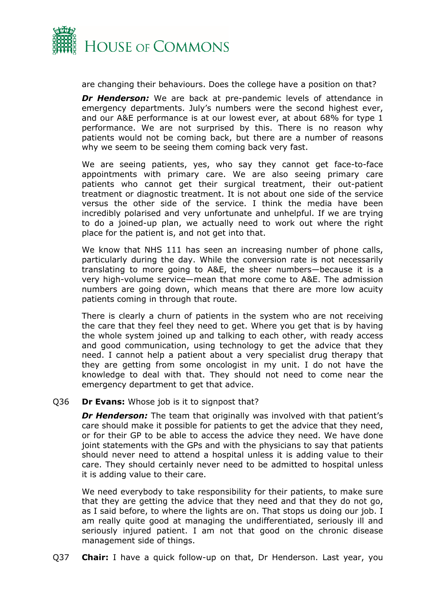

are changing their behaviours. Does the college have a position on that?

**Dr Henderson:** We are back at pre-pandemic levels of attendance in emergency departments. July's numbers were the second highest ever, and our A&E performance is at our lowest ever, at about 68% for type 1 performance. We are not surprised by this. There is no reason why patients would not be coming back, but there are a number of reasons why we seem to be seeing them coming back very fast.

We are seeing patients, yes, who say they cannot get face-to-face appointments with primary care. We are also seeing primary care patients who cannot get their surgical treatment, their out-patient treatment or diagnostic treatment. It is not about one side of the service versus the other side of the service. I think the media have been incredibly polarised and very unfortunate and unhelpful. If we are trying to do a joined-up plan, we actually need to work out where the right place for the patient is, and not get into that.

We know that NHS 111 has seen an increasing number of phone calls, particularly during the day. While the conversion rate is not necessarily translating to more going to A&E, the sheer numbers—because it is a very high-volume service—mean that more come to A&E. The admission numbers are going down, which means that there are more low acuity patients coming in through that route.

There is clearly a churn of patients in the system who are not receiving the care that they feel they need to get. Where you get that is by having the whole system joined up and talking to each other, with ready access and good communication, using technology to get the advice that they need. I cannot help a patient about a very specialist drug therapy that they are getting from some oncologist in my unit. I do not have the knowledge to deal with that. They should not need to come near the emergency department to get that advice.

#### Q36 **Dr Evans:** Whose job is it to signpost that?

**Dr Henderson:** The team that originally was involved with that patient's care should make it possible for patients to get the advice that they need, or for their GP to be able to access the advice they need. We have done joint statements with the GPs and with the physicians to say that patients should never need to attend a hospital unless it is adding value to their care. They should certainly never need to be admitted to hospital unless it is adding value to their care.

We need everybody to take responsibility for their patients, to make sure that they are getting the advice that they need and that they do not go, as I said before, to where the lights are on. That stops us doing our job. I am really quite good at managing the undifferentiated, seriously ill and seriously injured patient. I am not that good on the chronic disease management side of things.

Q37 **Chair:** I have a quick follow-up on that, Dr Henderson. Last year, you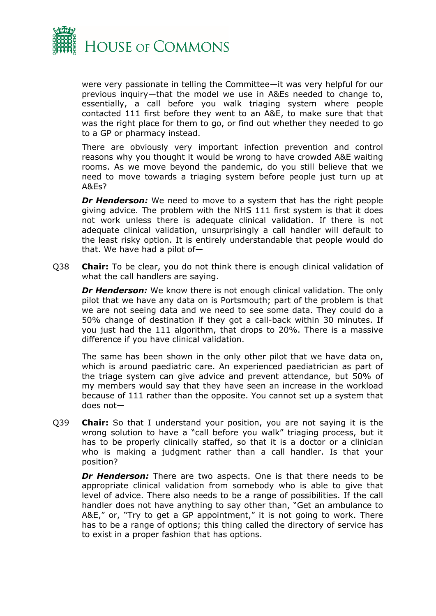

were very passionate in telling the Committee—it was very helpful for our previous inquiry—that the model we use in A&Es needed to change to, essentially, a call before you walk triaging system where people contacted 111 first before they went to an A&E, to make sure that that was the right place for them to go, or find out whether they needed to go to a GP or pharmacy instead.

There are obviously very important infection prevention and control reasons why you thought it would be wrong to have crowded A&E waiting rooms. As we move beyond the pandemic, do you still believe that we need to move towards a triaging system before people just turn up at A&Es?

*Dr Henderson:* We need to move to a system that has the right people giving advice. The problem with the NHS 111 first system is that it does not work unless there is adequate clinical validation. If there is not adequate clinical validation, unsurprisingly a call handler will default to the least risky option. It is entirely understandable that people would do that. We have had a pilot of—

Q38 **Chair:** To be clear, you do not think there is enough clinical validation of what the call handlers are saying.

**Dr Henderson:** We know there is not enough clinical validation. The only pilot that we have any data on is Portsmouth; part of the problem is that we are not seeing data and we need to see some data. They could do a 50% change of destination if they got a call-back within 30 minutes. If you just had the 111 algorithm, that drops to 20%. There is a massive difference if you have clinical validation.

The same has been shown in the only other pilot that we have data on, which is around paediatric care. An experienced paediatrician as part of the triage system can give advice and prevent attendance, but 50% of my members would say that they have seen an increase in the workload because of 111 rather than the opposite. You cannot set up a system that does not—

Q39 **Chair:** So that I understand your position, you are not saying it is the wrong solution to have a "call before you walk" triaging process, but it has to be properly clinically staffed, so that it is a doctor or a clinician who is making a judgment rather than a call handler. Is that your position?

**Dr Henderson:** There are two aspects. One is that there needs to be appropriate clinical validation from somebody who is able to give that level of advice. There also needs to be a range of possibilities. If the call handler does not have anything to say other than, "Get an ambulance to A&E," or, "Try to get a GP appointment," it is not going to work. There has to be a range of options; this thing called the directory of service has to exist in a proper fashion that has options.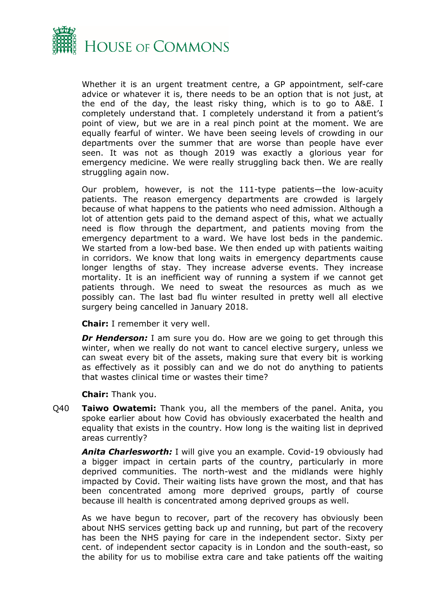

Whether it is an urgent treatment centre, a GP appointment, self-care advice or whatever it is, there needs to be an option that is not just, at the end of the day, the least risky thing, which is to go to A&E. I completely understand that. I completely understand it from a patient's point of view, but we are in a real pinch point at the moment. We are equally fearful of winter. We have been seeing levels of crowding in our departments over the summer that are worse than people have ever seen. It was not as though 2019 was exactly a glorious year for emergency medicine. We were really struggling back then. We are really struggling again now.

Our problem, however, is not the 111-type patients—the low-acuity patients. The reason emergency departments are crowded is largely because of what happens to the patients who need admission. Although a lot of attention gets paid to the demand aspect of this, what we actually need is flow through the department, and patients moving from the emergency department to a ward. We have lost beds in the pandemic. We started from a low-bed base. We then ended up with patients waiting in corridors. We know that long waits in emergency departments cause longer lengths of stay. They increase adverse events. They increase mortality. It is an inefficient way of running a system if we cannot get patients through. We need to sweat the resources as much as we possibly can. The last bad flu winter resulted in pretty well all elective surgery being cancelled in January 2018.

**Chair:** I remember it very well.

*Dr Henderson:* I am sure you do. How are we going to get through this winter, when we really do not want to cancel elective surgery, unless we can sweat every bit of the assets, making sure that every bit is working as effectively as it possibly can and we do not do anything to patients that wastes clinical time or wastes their time?

**Chair:** Thank you.

Q40 **Taiwo Owatemi:** Thank you, all the members of the panel. Anita, you spoke earlier about how Covid has obviously exacerbated the health and equality that exists in the country. How long is the waiting list in deprived areas currently?

*Anita Charlesworth:* I will give you an example. Covid-19 obviously had a bigger impact in certain parts of the country, particularly in more deprived communities. The north-west and the midlands were highly impacted by Covid. Their waiting lists have grown the most, and that has been concentrated among more deprived groups, partly of course because ill health is concentrated among deprived groups as well.

As we have begun to recover, part of the recovery has obviously been about NHS services getting back up and running, but part of the recovery has been the NHS paying for care in the independent sector. Sixty per cent. of independent sector capacity is in London and the south-east, so the ability for us to mobilise extra care and take patients off the waiting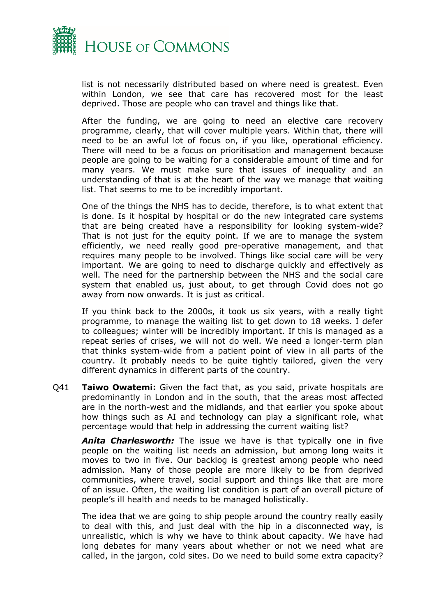

list is not necessarily distributed based on where need is greatest. Even within London, we see that care has recovered most for the least deprived. Those are people who can travel and things like that.

After the funding, we are going to need an elective care recovery programme, clearly, that will cover multiple years. Within that, there will need to be an awful lot of focus on, if you like, operational efficiency. There will need to be a focus on prioritisation and management because people are going to be waiting for a considerable amount of time and for many years. We must make sure that issues of inequality and an understanding of that is at the heart of the way we manage that waiting list. That seems to me to be incredibly important.

One of the things the NHS has to decide, therefore, is to what extent that is done. Is it hospital by hospital or do the new integrated care systems that are being created have a responsibility for looking system-wide? That is not just for the equity point. If we are to manage the system efficiently, we need really good pre-operative management, and that requires many people to be involved. Things like social care will be very important. We are going to need to discharge quickly and effectively as well. The need for the partnership between the NHS and the social care system that enabled us, just about, to get through Covid does not go away from now onwards. It is just as critical.

If you think back to the 2000s, it took us six years, with a really tight programme, to manage the waiting list to get down to 18 weeks. I defer to colleagues; winter will be incredibly important. If this is managed as a repeat series of crises, we will not do well. We need a longer-term plan that thinks system-wide from a patient point of view in all parts of the country. It probably needs to be quite tightly tailored, given the very different dynamics in different parts of the country.

Q41 **Taiwo Owatemi:** Given the fact that, as you said, private hospitals are predominantly in London and in the south, that the areas most affected are in the north-west and the midlands, and that earlier you spoke about how things such as AI and technology can play a significant role, what percentage would that help in addressing the current waiting list?

*Anita Charlesworth:* The issue we have is that typically one in five people on the waiting list needs an admission, but among long waits it moves to two in five. Our backlog is greatest among people who need admission. Many of those people are more likely to be from deprived communities, where travel, social support and things like that are more of an issue. Often, the waiting list condition is part of an overall picture of people's ill health and needs to be managed holistically.

The idea that we are going to ship people around the country really easily to deal with this, and just deal with the hip in a disconnected way, is unrealistic, which is why we have to think about capacity. We have had long debates for many years about whether or not we need what are called, in the jargon, cold sites. Do we need to build some extra capacity?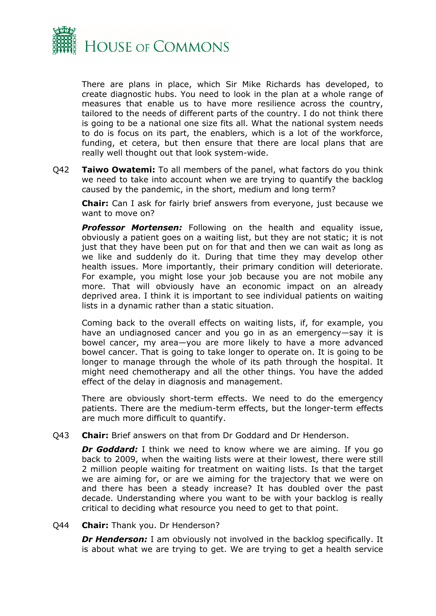

There are plans in place, which Sir Mike Richards has developed, to create diagnostic hubs. You need to look in the plan at a whole range of measures that enable us to have more resilience across the country, tailored to the needs of different parts of the country. I do not think there is going to be a national one size fits all. What the national system needs to do is focus on its part, the enablers, which is a lot of the workforce, funding, et cetera, but then ensure that there are local plans that are really well thought out that look system-wide.

Q42 **Taiwo Owatemi:** To all members of the panel, what factors do you think we need to take into account when we are trying to quantify the backlog caused by the pandemic, in the short, medium and long term?

**Chair:** Can I ask for fairly brief answers from everyone, just because we want to move on?

*Professor Mortensen:* Following on the health and equality issue, obviously a patient goes on a waiting list, but they are not static; it is not just that they have been put on for that and then we can wait as long as we like and suddenly do it. During that time they may develop other health issues. More importantly, their primary condition will deteriorate. For example, you might lose your job because you are not mobile any more. That will obviously have an economic impact on an already deprived area. I think it is important to see individual patients on waiting lists in a dynamic rather than a static situation.

Coming back to the overall effects on waiting lists, if, for example, you have an undiagnosed cancer and you go in as an emergency—say it is bowel cancer, my area—you are more likely to have a more advanced bowel cancer. That is going to take longer to operate on. It is going to be longer to manage through the whole of its path through the hospital. It might need chemotherapy and all the other things. You have the added effect of the delay in diagnosis and management.

There are obviously short-term effects. We need to do the emergency patients. There are the medium-term effects, but the longer-term effects are much more difficult to quantify.

Q43 **Chair:** Brief answers on that from Dr Goddard and Dr Henderson.

*Dr Goddard:* I think we need to know where we are aiming. If you go back to 2009, when the waiting lists were at their lowest, there were still 2 million people waiting for treatment on waiting lists. Is that the target we are aiming for, or are we aiming for the trajectory that we were on and there has been a steady increase? It has doubled over the past decade. Understanding where you want to be with your backlog is really critical to deciding what resource you need to get to that point.

Q44 **Chair:** Thank you. Dr Henderson?

*Dr Henderson:* I am obviously not involved in the backlog specifically. It is about what we are trying to get. We are trying to get a health service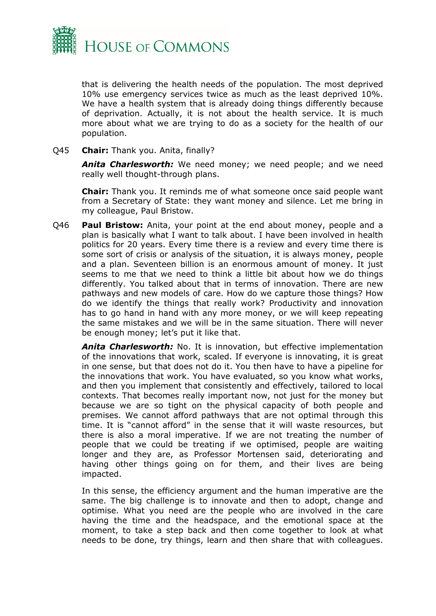

that is delivering the health needs of the population. The most deprived 10% use emergency services twice as much as the least deprived 10%. We have a health system that is already doing things differently because of deprivation. Actually, it is not about the health service. It is much more about what we are trying to do as a society for the health of our population.

#### Q45 **Chair:** Thank you. Anita, finally?

*Anita Charlesworth:* We need money; we need people; and we need really well thought-through plans.

**Chair:** Thank you. It reminds me of what someone once said people want from a Secretary of State: they want money and silence. Let me bring in my colleague, Paul Bristow.

Q46 **Paul Bristow:** Anita, your point at the end about money, people and a plan is basically what I want to talk about. I have been involved in health politics for 20 years. Every time there is a review and every time there is some sort of crisis or analysis of the situation, it is always money, people and a plan. Seventeen billion is an enormous amount of money. It just seems to me that we need to think a little bit about how we do things differently. You talked about that in terms of innovation. There are new pathways and new models of care. How do we capture those things? How do we identify the things that really work? Productivity and innovation has to go hand in hand with any more money, or we will keep repeating the same mistakes and we will be in the same situation. There will never be enough money; let's put it like that.

*Anita Charlesworth:* No. It is innovation, but effective implementation of the innovations that work, scaled. If everyone is innovating, it is great in one sense, but that does not do it. You then have to have a pipeline for the innovations that work. You have evaluated, so you know what works, and then you implement that consistently and effectively, tailored to local contexts. That becomes really important now, not just for the money but because we are so tight on the physical capacity of both people and premises. We cannot afford pathways that are not optimal through this time. It is "cannot afford" in the sense that it will waste resources, but there is also a moral imperative. If we are not treating the number of people that we could be treating if we optimised, people are waiting longer and they are, as Professor Mortensen said, deteriorating and having other things going on for them, and their lives are being impacted.

In this sense, the efficiency argument and the human imperative are the same. The big challenge is to innovate and then to adopt, change and optimise. What you need are the people who are involved in the care having the time and the headspace, and the emotional space at the moment, to take a step back and then come together to look at what needs to be done, try things, learn and then share that with colleagues.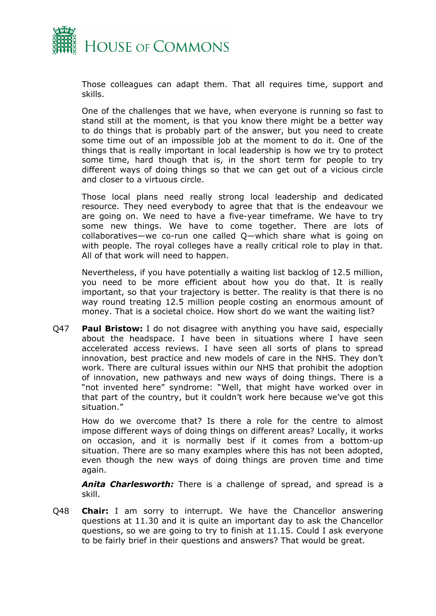

Those colleagues can adapt them. That all requires time, support and skills.

One of the challenges that we have, when everyone is running so fast to stand still at the moment, is that you know there might be a better way to do things that is probably part of the answer, but you need to create some time out of an impossible job at the moment to do it. One of the things that is really important in local leadership is how we try to protect some time, hard though that is, in the short term for people to try different ways of doing things so that we can get out of a vicious circle and closer to a virtuous circle.

Those local plans need really strong local leadership and dedicated resource. They need everybody to agree that that is the endeavour we are going on. We need to have a five-year timeframe. We have to try some new things. We have to come together. There are lots of collaboratives—we co-run one called Q—which share what is going on with people. The royal colleges have a really critical role to play in that. All of that work will need to happen.

Nevertheless, if you have potentially a waiting list backlog of 12.5 million, you need to be more efficient about how you do that. It is really important, so that your trajectory is better. The reality is that there is no way round treating 12.5 million people costing an enormous amount of money. That is a societal choice. How short do we want the waiting list?

Q47 **Paul Bristow:** I do not disagree with anything you have said, especially about the headspace. I have been in situations where I have seen accelerated access reviews. I have seen all sorts of plans to spread innovation, best practice and new models of care in the NHS. They don't work. There are cultural issues within our NHS that prohibit the adoption of innovation, new pathways and new ways of doing things. There is a "not invented here" syndrome: "Well, that might have worked over in that part of the country, but it couldn't work here because we've got this situation."

How do we overcome that? Is there a role for the centre to almost impose different ways of doing things on different areas? Locally, it works on occasion, and it is normally best if it comes from a bottom-up situation. There are so many examples where this has not been adopted, even though the new ways of doing things are proven time and time again.

*Anita Charlesworth:* There is a challenge of spread, and spread is a skill.

Q48 **Chair:** I am sorry to interrupt. We have the Chancellor answering questions at 11.30 and it is quite an important day to ask the Chancellor questions, so we are going to try to finish at 11.15. Could I ask everyone to be fairly brief in their questions and answers? That would be great.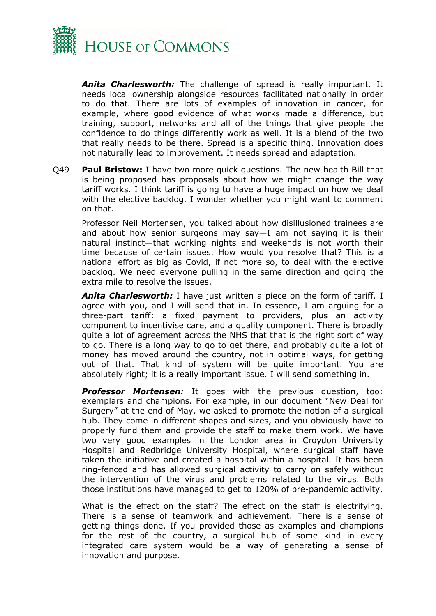

*Anita Charlesworth:* The challenge of spread is really important. It needs local ownership alongside resources facilitated nationally in order to do that. There are lots of examples of innovation in cancer, for example, where good evidence of what works made a difference, but training, support, networks and all of the things that give people the confidence to do things differently work as well. It is a blend of the two that really needs to be there. Spread is a specific thing. Innovation does not naturally lead to improvement. It needs spread and adaptation.

Q49 **Paul Bristow:** I have two more quick questions. The new health Bill that is being proposed has proposals about how we might change the way tariff works. I think tariff is going to have a huge impact on how we deal with the elective backlog. I wonder whether you might want to comment on that.

Professor Neil Mortensen, you talked about how disillusioned trainees are and about how senior surgeons may say—I am not saying it is their natural instinct—that working nights and weekends is not worth their time because of certain issues. How would you resolve that? This is a national effort as big as Covid, if not more so, to deal with the elective backlog. We need everyone pulling in the same direction and going the extra mile to resolve the issues.

*Anita Charlesworth:* I have just written a piece on the form of tariff. I agree with you, and I will send that in. In essence, I am arguing for a three-part tariff: a fixed payment to providers, plus an activity component to incentivise care, and a quality component. There is broadly quite a lot of agreement across the NHS that that is the right sort of way to go. There is a long way to go to get there, and probably quite a lot of money has moved around the country, not in optimal ways, for getting out of that. That kind of system will be quite important. You are absolutely right; it is a really important issue. I will send something in.

*Professor Mortensen:* It goes with the previous question, too: exemplars and champions. For example, in our document "New Deal for Surgery" at the end of May, we asked to promote the notion of a surgical hub. They come in different shapes and sizes, and you obviously have to properly fund them and provide the staff to make them work. We have two very good examples in the London area in Croydon University Hospital and Redbridge University Hospital, where surgical staff have taken the initiative and created a hospital within a hospital. It has been ring-fenced and has allowed surgical activity to carry on safely without the intervention of the virus and problems related to the virus. Both those institutions have managed to get to 120% of pre-pandemic activity.

What is the effect on the staff? The effect on the staff is electrifying. There is a sense of teamwork and achievement. There is a sense of getting things done. If you provided those as examples and champions for the rest of the country, a surgical hub of some kind in every integrated care system would be a way of generating a sense of innovation and purpose.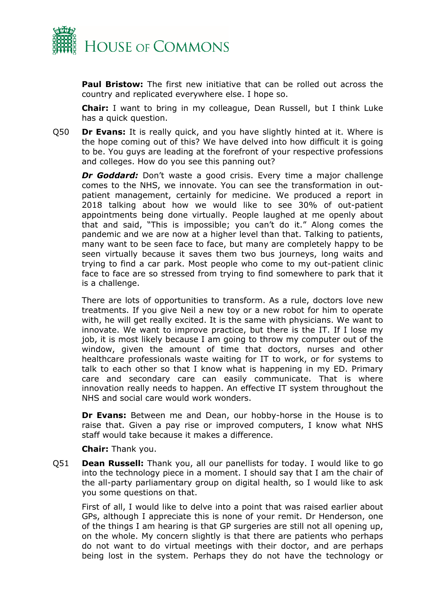

**Paul Bristow:** The first new initiative that can be rolled out across the country and replicated everywhere else. I hope so.

**Chair:** I want to bring in my colleague, Dean Russell, but I think Luke has a quick question.

Q50 **Dr Evans:** It is really quick, and you have slightly hinted at it. Where is the hope coming out of this? We have delved into how difficult it is going to be. You guys are leading at the forefront of your respective professions and colleges. How do you see this panning out?

*Dr Goddard:* Don't waste a good crisis. Every time a major challenge comes to the NHS, we innovate. You can see the transformation in outpatient management, certainly for medicine. We produced a report in 2018 talking about how we would like to see 30% of out-patient appointments being done virtually. People laughed at me openly about that and said, "This is impossible; you can't do it." Along comes the pandemic and we are now at a higher level than that. Talking to patients, many want to be seen face to face, but many are completely happy to be seen virtually because it saves them two bus journeys, long waits and trying to find a car park. Most people who come to my out-patient clinic face to face are so stressed from trying to find somewhere to park that it is a challenge.

There are lots of opportunities to transform. As a rule, doctors love new treatments. If you give Neil a new toy or a new robot for him to operate with, he will get really excited. It is the same with physicians. We want to innovate. We want to improve practice, but there is the IT. If I lose my job, it is most likely because I am going to throw my computer out of the window, given the amount of time that doctors, nurses and other healthcare professionals waste waiting for IT to work, or for systems to talk to each other so that I know what is happening in my ED. Primary care and secondary care can easily communicate. That is where innovation really needs to happen. An effective IT system throughout the NHS and social care would work wonders.

**Dr Evans:** Between me and Dean, our hobby-horse in the House is to raise that. Given a pay rise or improved computers, I know what NHS staff would take because it makes a difference.

**Chair:** Thank you.

Q51 **Dean Russell:** Thank you, all our panellists for today. I would like to go into the technology piece in a moment. I should say that I am the chair of the all-party parliamentary group on digital health, so I would like to ask you some questions on that.

First of all, I would like to delve into a point that was raised earlier about GPs, although I appreciate this is none of your remit. Dr Henderson, one of the things I am hearing is that GP surgeries are still not all opening up, on the whole. My concern slightly is that there are patients who perhaps do not want to do virtual meetings with their doctor, and are perhaps being lost in the system. Perhaps they do not have the technology or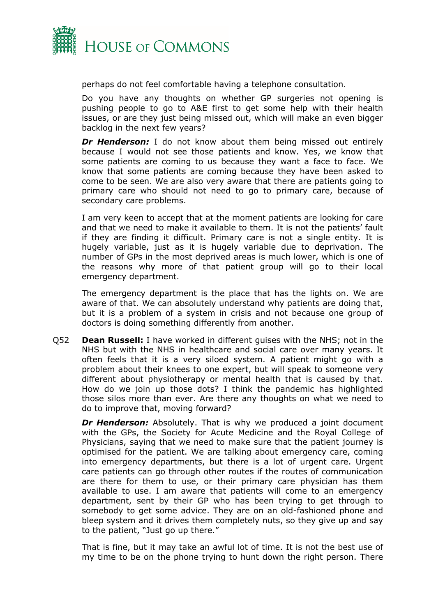

perhaps do not feel comfortable having a telephone consultation.

Do you have any thoughts on whether GP surgeries not opening is pushing people to go to A&E first to get some help with their health issues, or are they just being missed out, which will make an even bigger backlog in the next few years?

**Dr Henderson:** I do not know about them being missed out entirely because I would not see those patients and know. Yes, we know that some patients are coming to us because they want a face to face. We know that some patients are coming because they have been asked to come to be seen. We are also very aware that there are patients going to primary care who should not need to go to primary care, because of secondary care problems.

I am very keen to accept that at the moment patients are looking for care and that we need to make it available to them. It is not the patients' fault if they are finding it difficult. Primary care is not a single entity. It is hugely variable, just as it is hugely variable due to deprivation. The number of GPs in the most deprived areas is much lower, which is one of the reasons why more of that patient group will go to their local emergency department.

The emergency department is the place that has the lights on. We are aware of that. We can absolutely understand why patients are doing that, but it is a problem of a system in crisis and not because one group of doctors is doing something differently from another.

Q52 **Dean Russell:** I have worked in different guises with the NHS; not in the NHS but with the NHS in healthcare and social care over many years. It often feels that it is a very siloed system. A patient might go with a problem about their knees to one expert, but will speak to someone very different about physiotherapy or mental health that is caused by that. How do we join up those dots? I think the pandemic has highlighted those silos more than ever. Are there any thoughts on what we need to do to improve that, moving forward?

**Dr Henderson:** Absolutely. That is why we produced a joint document with the GPs, the Society for Acute Medicine and the Royal College of Physicians, saying that we need to make sure that the patient journey is optimised for the patient. We are talking about emergency care, coming into emergency departments, but there is a lot of urgent care. Urgent care patients can go through other routes if the routes of communication are there for them to use, or their primary care physician has them available to use. I am aware that patients will come to an emergency department, sent by their GP who has been trying to get through to somebody to get some advice. They are on an old-fashioned phone and bleep system and it drives them completely nuts, so they give up and say to the patient, "Just go up there."

That is fine, but it may take an awful lot of time. It is not the best use of my time to be on the phone trying to hunt down the right person. There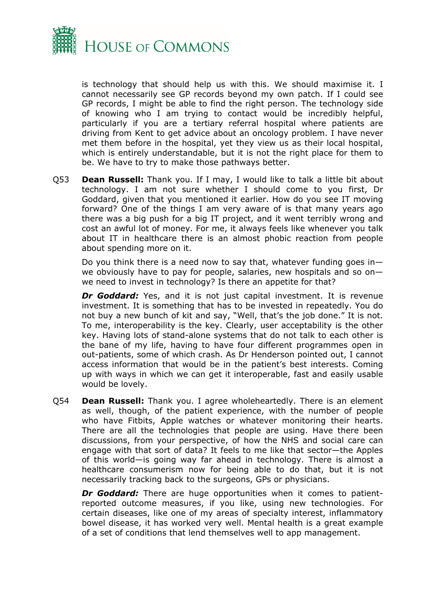

is technology that should help us with this. We should maximise it. I cannot necessarily see GP records beyond my own patch. If I could see GP records, I might be able to find the right person. The technology side of knowing who I am trying to contact would be incredibly helpful, particularly if you are a tertiary referral hospital where patients are driving from Kent to get advice about an oncology problem. I have never met them before in the hospital, yet they view us as their local hospital, which is entirely understandable, but it is not the right place for them to be. We have to try to make those pathways better.

Q53 **Dean Russell:** Thank you. If I may, I would like to talk a little bit about technology. I am not sure whether I should come to you first, Dr Goddard, given that you mentioned it earlier. How do you see IT moving forward? One of the things I am very aware of is that many years ago there was a big push for a big IT project, and it went terribly wrong and cost an awful lot of money. For me, it always feels like whenever you talk about IT in healthcare there is an almost phobic reaction from people about spending more on it.

Do you think there is a need now to say that, whatever funding goes inwe obviously have to pay for people, salaries, new hospitals and so on we need to invest in technology? Is there an appetite for that?

**Dr Goddard:** Yes, and it is not just capital investment. It is revenue investment. It is something that has to be invested in repeatedly. You do not buy a new bunch of kit and say, "Well, that's the job done." It is not. To me, interoperability is the key. Clearly, user acceptability is the other key. Having lots of stand-alone systems that do not talk to each other is the bane of my life, having to have four different programmes open in out-patients, some of which crash. As Dr Henderson pointed out, I cannot access information that would be in the patient's best interests. Coming up with ways in which we can get it interoperable, fast and easily usable would be lovely.

Q54 **Dean Russell:** Thank you. I agree wholeheartedly. There is an element as well, though, of the patient experience, with the number of people who have Fitbits, Apple watches or whatever monitoring their hearts. There are all the technologies that people are using. Have there been discussions, from your perspective, of how the NHS and social care can engage with that sort of data? It feels to me like that sector—the Apples of this world—is going way far ahead in technology. There is almost a healthcare consumerism now for being able to do that, but it is not necessarily tracking back to the surgeons, GPs or physicians.

*Dr Goddard:* There are huge opportunities when it comes to patientreported outcome measures, if you like, using new technologies. For certain diseases, like one of my areas of specialty interest, inflammatory bowel disease, it has worked very well. Mental health is a great example of a set of conditions that lend themselves well to app management.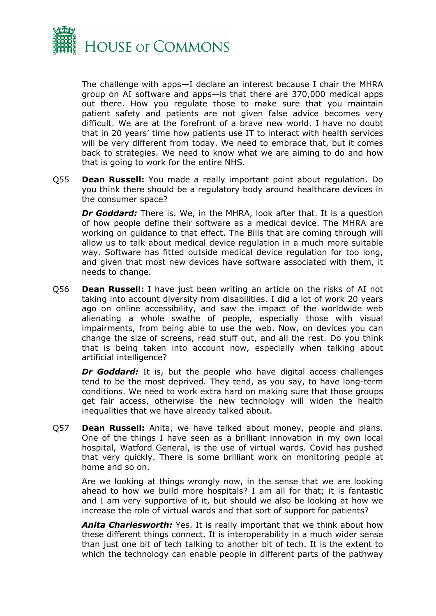

The challenge with apps—I declare an interest because I chair the MHRA group on AI software and apps—is that there are 370,000 medical apps out there. How you regulate those to make sure that you maintain patient safety and patients are not given false advice becomes very difficult. We are at the forefront of a brave new world. I have no doubt that in 20 years' time how patients use IT to interact with health services will be very different from today. We need to embrace that, but it comes back to strategies. We need to know what we are aiming to do and how that is going to work for the entire NHS.

Q55 **Dean Russell:** You made a really important point about regulation. Do you think there should be a regulatory body around healthcare devices in the consumer space?

*Dr Goddard:* There is. We, in the MHRA, look after that. It is a question of how people define their software as a medical device. The MHRA are working on guidance to that effect. The Bills that are coming through will allow us to talk about medical device regulation in a much more suitable way. Software has fitted outside medical device regulation for too long, and given that most new devices have software associated with them, it needs to change.

Q56 **Dean Russell:** I have just been writing an article on the risks of AI not taking into account diversity from disabilities. I did a lot of work 20 years ago on online accessibility, and saw the impact of the worldwide web alienating a whole swathe of people, especially those with visual impairments, from being able to use the web. Now, on devices you can change the size of screens, read stuff out, and all the rest. Do you think that is being taken into account now, especially when talking about artificial intelligence?

*Dr Goddard:* It is, but the people who have digital access challenges tend to be the most deprived. They tend, as you say, to have long-term conditions. We need to work extra hard on making sure that those groups get fair access, otherwise the new technology will widen the health inequalities that we have already talked about.

Q57 **Dean Russell:** Anita, we have talked about money, people and plans. One of the things I have seen as a brilliant innovation in my own local hospital, Watford General, is the use of virtual wards. Covid has pushed that very quickly. There is some brilliant work on monitoring people at home and so on.

Are we looking at things wrongly now, in the sense that we are looking ahead to how we build more hospitals? I am all for that; it is fantastic and I am very supportive of it, but should we also be looking at how we increase the role of virtual wards and that sort of support for patients?

*Anita Charlesworth:* Yes. It is really important that we think about how these different things connect. It is interoperability in a much wider sense than just one bit of tech talking to another bit of tech. It is the extent to which the technology can enable people in different parts of the pathway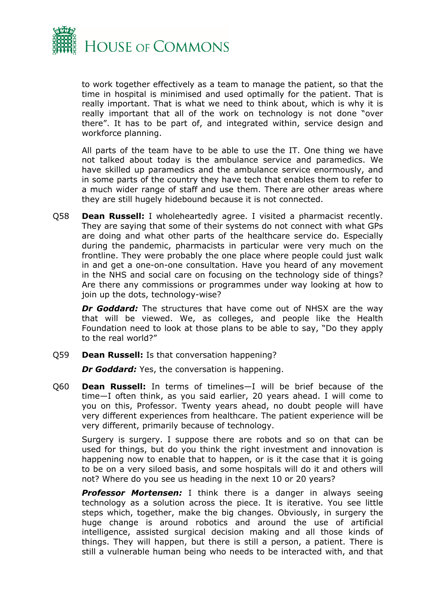

to work together effectively as a team to manage the patient, so that the time in hospital is minimised and used optimally for the patient. That is really important. That is what we need to think about, which is why it is really important that all of the work on technology is not done "over there". It has to be part of, and integrated within, service design and workforce planning.

All parts of the team have to be able to use the IT. One thing we have not talked about today is the ambulance service and paramedics. We have skilled up paramedics and the ambulance service enormously, and in some parts of the country they have tech that enables them to refer to a much wider range of staff and use them. There are other areas where they are still hugely hidebound because it is not connected.

Q58 **Dean Russell:** I wholeheartedly agree. I visited a pharmacist recently. They are saying that some of their systems do not connect with what GPs are doing and what other parts of the healthcare service do. Especially during the pandemic, pharmacists in particular were very much on the frontline. They were probably the one place where people could just walk in and get a one-on-one consultation. Have you heard of any movement in the NHS and social care on focusing on the technology side of things? Are there any commissions or programmes under way looking at how to join up the dots, technology-wise?

*Dr Goddard:* The structures that have come out of NHSX are the way that will be viewed. We, as colleges, and people like the Health Foundation need to look at those plans to be able to say, "Do they apply to the real world?"

Q59 **Dean Russell:** Is that conversation happening?

*Dr Goddard:* Yes, the conversation is happening.

Q60 **Dean Russell:** In terms of timelines—I will be brief because of the time—I often think, as you said earlier, 20 years ahead. I will come to you on this, Professor. Twenty years ahead, no doubt people will have very different experiences from healthcare. The patient experience will be very different, primarily because of technology.

Surgery is surgery. I suppose there are robots and so on that can be used for things, but do you think the right investment and innovation is happening now to enable that to happen, or is it the case that it is going to be on a very siloed basis, and some hospitals will do it and others will not? Where do you see us heading in the next 10 or 20 years?

*Professor Mortensen:* I think there is a danger in always seeing technology as a solution across the piece. It is iterative. You see little steps which, together, make the big changes. Obviously, in surgery the huge change is around robotics and around the use of artificial intelligence, assisted surgical decision making and all those kinds of things. They will happen, but there is still a person, a patient. There is still a vulnerable human being who needs to be interacted with, and that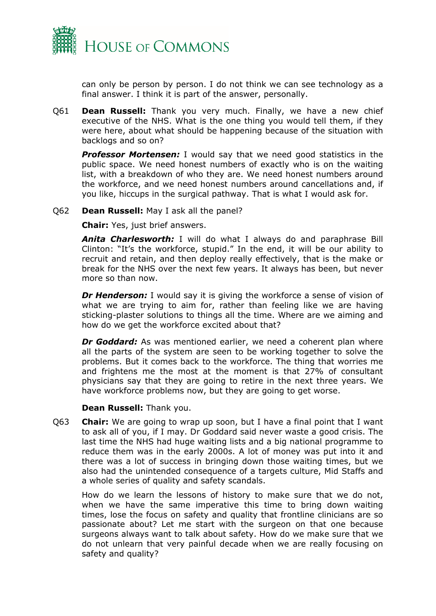

can only be person by person. I do not think we can see technology as a final answer. I think it is part of the answer, personally.

Q61 **Dean Russell:** Thank you very much. Finally, we have a new chief executive of the NHS. What is the one thing you would tell them, if they were here, about what should be happening because of the situation with backlogs and so on?

**Professor Mortensen:** I would say that we need good statistics in the public space. We need honest numbers of exactly who is on the waiting list, with a breakdown of who they are. We need honest numbers around the workforce, and we need honest numbers around cancellations and, if you like, hiccups in the surgical pathway. That is what I would ask for.

#### Q62 **Dean Russell:** May I ask all the panel?

**Chair:** Yes, just brief answers.

*Anita Charlesworth:* I will do what I always do and paraphrase Bill Clinton: "It's the workforce, stupid." In the end, it will be our ability to recruit and retain, and then deploy really effectively, that is the make or break for the NHS over the next few years. It always has been, but never more so than now.

*Dr Henderson:* I would say it is giving the workforce a sense of vision of what we are trying to aim for, rather than feeling like we are having sticking-plaster solutions to things all the time. Where are we aiming and how do we get the workforce excited about that?

*Dr Goddard:* As was mentioned earlier, we need a coherent plan where all the parts of the system are seen to be working together to solve the problems. But it comes back to the workforce. The thing that worries me and frightens me the most at the moment is that 27% of consultant physicians say that they are going to retire in the next three years. We have workforce problems now, but they are going to get worse.

#### **Dean Russell:** Thank you.

Q63 **Chair:** We are going to wrap up soon, but I have a final point that I want to ask all of you, if I may. Dr Goddard said never waste a good crisis. The last time the NHS had huge waiting lists and a big national programme to reduce them was in the early 2000s. A lot of money was put into it and there was a lot of success in bringing down those waiting times, but we also had the unintended consequence of a targets culture, Mid Staffs and a whole series of quality and safety scandals.

How do we learn the lessons of history to make sure that we do not, when we have the same imperative this time to bring down waiting times, lose the focus on safety and quality that frontline clinicians are so passionate about? Let me start with the surgeon on that one because surgeons always want to talk about safety. How do we make sure that we do not unlearn that very painful decade when we are really focusing on safety and quality?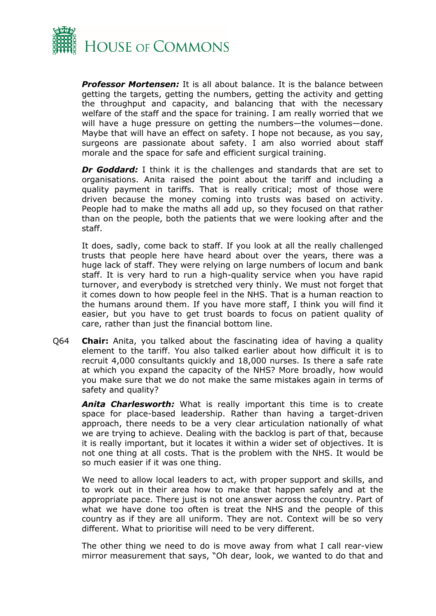

*Professor Mortensen:* It is all about balance. It is the balance between getting the targets, getting the numbers, getting the activity and getting the throughput and capacity, and balancing that with the necessary welfare of the staff and the space for training. I am really worried that we will have a huge pressure on getting the numbers—the volumes—done. Maybe that will have an effect on safety. I hope not because, as you say, surgeons are passionate about safety. I am also worried about staff morale and the space for safe and efficient surgical training.

*Dr Goddard:* I think it is the challenges and standards that are set to organisations. Anita raised the point about the tariff and including a quality payment in tariffs. That is really critical; most of those were driven because the money coming into trusts was based on activity. People had to make the maths all add up, so they focused on that rather than on the people, both the patients that we were looking after and the staff.

It does, sadly, come back to staff. If you look at all the really challenged trusts that people here have heard about over the years, there was a huge lack of staff. They were relying on large numbers of locum and bank staff. It is very hard to run a high-quality service when you have rapid turnover, and everybody is stretched very thinly. We must not forget that it comes down to how people feel in the NHS. That is a human reaction to the humans around them. If you have more staff, I think you will find it easier, but you have to get trust boards to focus on patient quality of care, rather than just the financial bottom line.

Q64 **Chair:** Anita, you talked about the fascinating idea of having a quality element to the tariff. You also talked earlier about how difficult it is to recruit 4,000 consultants quickly and 18,000 nurses. Is there a safe rate at which you expand the capacity of the NHS? More broadly, how would you make sure that we do not make the same mistakes again in terms of safety and quality?

*Anita Charlesworth:* What is really important this time is to create space for place-based leadership. Rather than having a target-driven approach, there needs to be a very clear articulation nationally of what we are trying to achieve. Dealing with the backlog is part of that, because it is really important, but it locates it within a wider set of objectives. It is not one thing at all costs. That is the problem with the NHS. It would be so much easier if it was one thing.

We need to allow local leaders to act, with proper support and skills, and to work out in their area how to make that happen safely and at the appropriate pace. There just is not one answer across the country. Part of what we have done too often is treat the NHS and the people of this country as if they are all uniform. They are not. Context will be so very different. What to prioritise will need to be very different.

The other thing we need to do is move away from what I call rear-view mirror measurement that says, "Oh dear, look, we wanted to do that and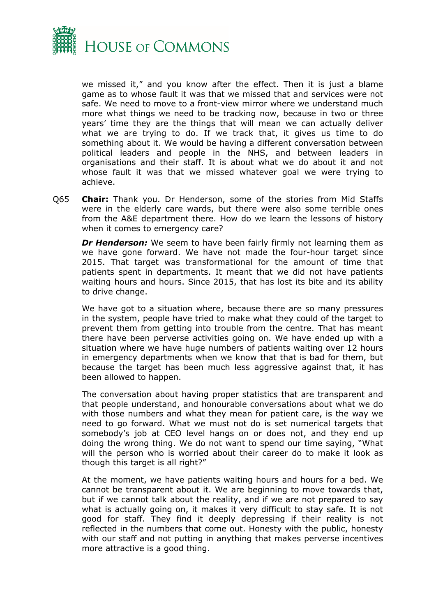

we missed it," and you know after the effect. Then it is just a blame game as to whose fault it was that we missed that and services were not safe. We need to move to a front-view mirror where we understand much more what things we need to be tracking now, because in two or three years' time they are the things that will mean we can actually deliver what we are trying to do. If we track that, it gives us time to do something about it. We would be having a different conversation between political leaders and people in the NHS, and between leaders in organisations and their staff. It is about what we do about it and not whose fault it was that we missed whatever goal we were trying to achieve.

Q65 **Chair:** Thank you. Dr Henderson, some of the stories from Mid Staffs were in the elderly care wards, but there were also some terrible ones from the A&E department there. How do we learn the lessons of history when it comes to emergency care?

*Dr Henderson:* We seem to have been fairly firmly not learning them as we have gone forward. We have not made the four-hour target since 2015. That target was transformational for the amount of time that patients spent in departments. It meant that we did not have patients waiting hours and hours. Since 2015, that has lost its bite and its ability to drive change.

We have got to a situation where, because there are so many pressures in the system, people have tried to make what they could of the target to prevent them from getting into trouble from the centre. That has meant there have been perverse activities going on. We have ended up with a situation where we have huge numbers of patients waiting over 12 hours in emergency departments when we know that that is bad for them, but because the target has been much less aggressive against that, it has been allowed to happen.

The conversation about having proper statistics that are transparent and that people understand, and honourable conversations about what we do with those numbers and what they mean for patient care, is the way we need to go forward. What we must not do is set numerical targets that somebody's job at CEO level hangs on or does not, and they end up doing the wrong thing. We do not want to spend our time saying, "What will the person who is worried about their career do to make it look as though this target is all right?"

At the moment, we have patients waiting hours and hours for a bed. We cannot be transparent about it. We are beginning to move towards that, but if we cannot talk about the reality, and if we are not prepared to say what is actually going on, it makes it very difficult to stay safe. It is not good for staff. They find it deeply depressing if their reality is not reflected in the numbers that come out. Honesty with the public, honesty with our staff and not putting in anything that makes perverse incentives more attractive is a good thing.